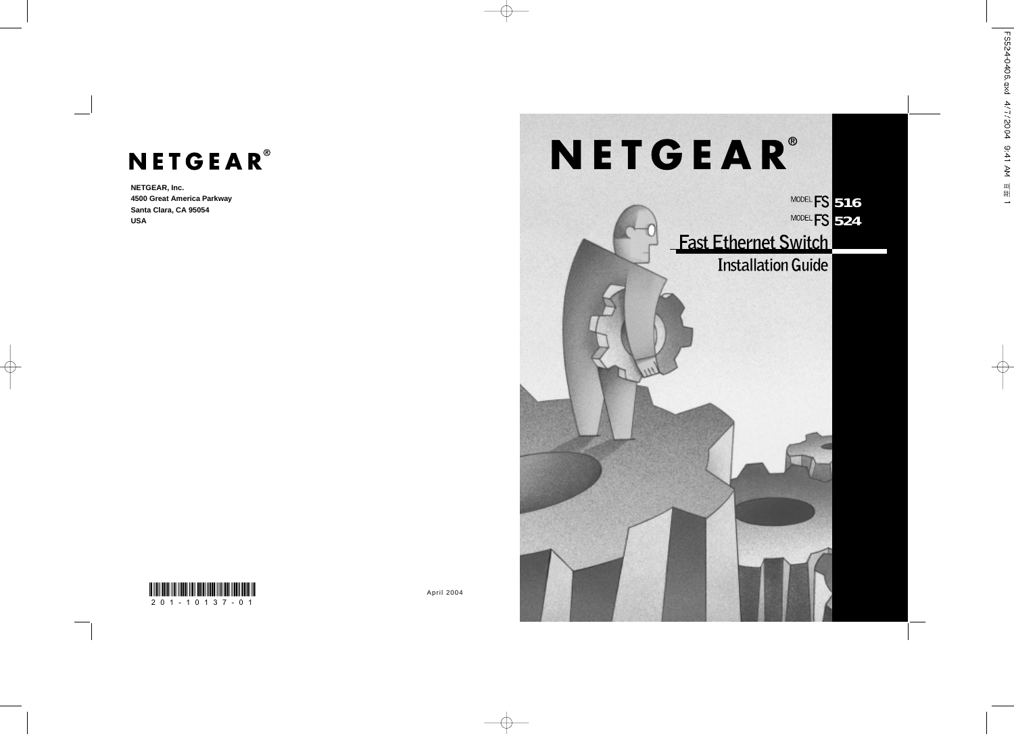# FS524-0406.qxd 4/7/2004 9:41 AM 頁面 1

# NETGEAR®

**NETGEAR, Inc. 4500 Great America Parkway Santa Clara, CA 95054 USA**





April 2004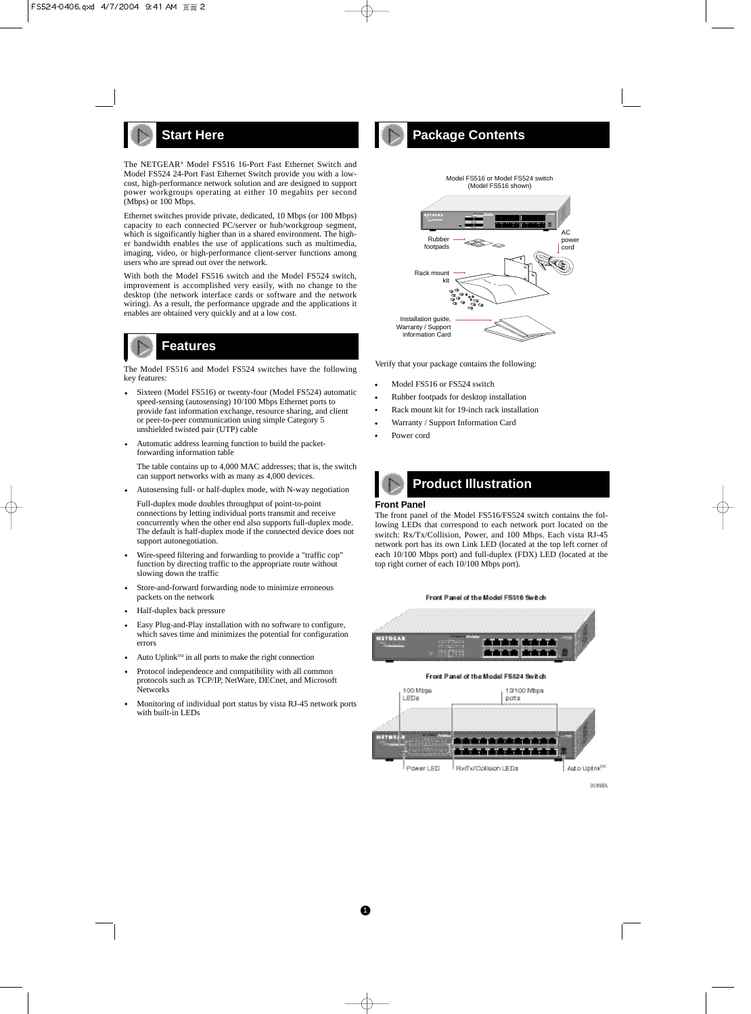

The NETGEAR® Model FS516 16-Port Fast Ethernet Switch and Model FS524 24-Port Fast Ethernet Switch provide you with a lowcost, high-performance network solution and are designed to support power workgroups operating at either 10 megabits per second (Mbps) or 100 Mbps.

Ethernet switches provide private, dedicated, 10 Mbps (or 100 Mbps) capacity to each connected PC/server or hub/workgroup segment, which is significantly higher than in a shared environment. The higher bandwidth enables the use of applications such as multimedia, imaging, video, or high-performance client-server functions among users who are spread out over the network.

With both the Model FS516 switch and the Model FS524 switch, improvement is accomplished very easily, with no change to the desktop (the network interface cards or software and the network wiring). As a result, the performance upgrade and the applications it enables are obtained very quickly and at a low cost.

# **Features**

The Model FS516 and Model FS524 switches have the following key features:

- Sixteen (Model FS516) or twenty-four (Model FS524) automatic speed-sensing (autosensing) 10/100 Mbps Ethernet ports to provide fast information exchange, resource sharing, and client or peer-to-peer communication using simple Category 5 unshielded twisted pair (UTP) cable
- Automatic address learning function to build the packet- $\bullet$ forwarding information table

The table contains up to 4,000 MAC addresses; that is, the switch can support networks with as many as 4,000 devices.

- Autosensing full- or half-duplex mode, with N-way negotiation
- Full-duplex mode doubles throughput of point-to-point connections by letting individual ports transmit and receive concurrently when the other end also supports full-duplex mode. The default is half-duplex mode if the connected device does not support autonegotiation.
- Wire-speed filtering and forwarding to provide a "traffic cop" function by directing traffic to the appropriate route without slowing down the traffic
- Store-and-forward forwarding node to minimize erroneous packets on the network
- Half-duplex back pressure
- Easy Plug-and-Play installation with no software to configure,  $\bullet$ which saves time and minimizes the potential for configuration errors
- Auto Uplink™ in all ports to make the right connection
- Protocol independence and compatibility with all common protocols such as TCP/IP, NetWare, DECnet, and Microsoft Networks
- Monitoring of individual port status by vista RJ-45 network ports  $\bullet$ with built-in LEDs





Verify that your package contains the following:

- Model FS516 or FS524 switch
- Rubber footpads for desktop installation
- Rack mount kit for 19-inch rack installation
- Warranty / Support Information Card
- Power cord

# **Product Illustration**

**Front Panel**

 $\bf o$ 

The front panel of the Model FS516/FS524 switch contains the following LEDs that correspond to each network port located on the switch: Rx/Tx/Collision, Power, and 100 Mbps. Each vista RJ-45 network port has its own Link LED (located at the top left corner of each 10/100 Mbps port) and full-duplex (FDX) LED (located at the top right corner of each 10/100 Mbps port).

Front Panel of the Model FSS16 Switch

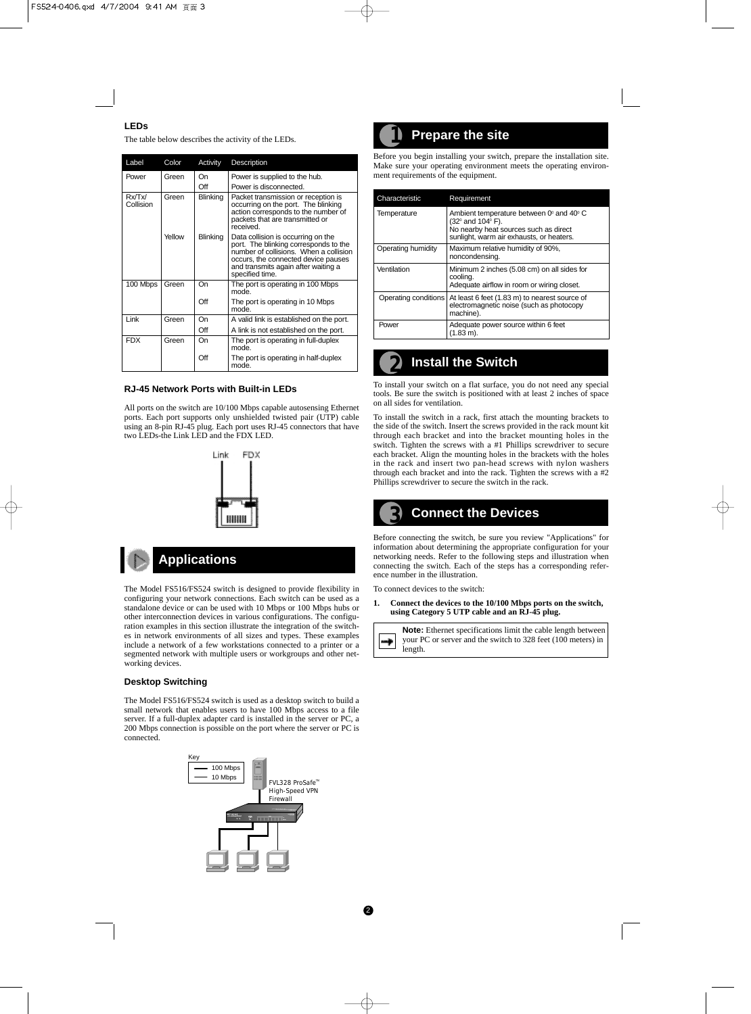# **LEDs**

The table below describes the activity of the LEDs.

| Label               | Color                    | Activity        | Description                                                                                                                                                                                                            |
|---------------------|--------------------------|-----------------|------------------------------------------------------------------------------------------------------------------------------------------------------------------------------------------------------------------------|
| Power               | Green                    | On              | Power is supplied to the hub.                                                                                                                                                                                          |
|                     |                          | Off             | Power is disconnected.                                                                                                                                                                                                 |
| Rx/Tx/<br>Collision | <b>Blinking</b><br>Green |                 | Packet transmission or reception is<br>occurring on the port. The blinking<br>action corresponds to the number of<br>packets that are transmitted or<br>received.                                                      |
|                     | Yellow                   | <b>Blinking</b> | Data collision is occurring on the<br>port. The blinking corresponds to the<br>number of collisions. When a collision<br>occurs, the connected device pauses<br>and transmits again after waiting a<br>specified time. |
| 100 Mbps            | Green                    | On              | The port is operating in 100 Mbps<br>mode.                                                                                                                                                                             |
|                     |                          | Off             | The port is operating in 10 Mbps<br>mode.                                                                                                                                                                              |
| Link                | Green                    | On              | A valid link is established on the port.                                                                                                                                                                               |
|                     |                          | Off             | A link is not established on the port.                                                                                                                                                                                 |
| <b>FDX</b>          | Green                    | On              | The port is operating in full-duplex<br>mode.                                                                                                                                                                          |
|                     |                          | Off             | The port is operating in half-duplex<br>mode.                                                                                                                                                                          |

# **RJ-45 Network Ports with Built-in LEDs**

All ports on the switch are 10/100 Mbps capable autosensing Ethernet ports. Each port supports only unshielded twisted pair (UTP) cable using an 8-pin RJ-45 plug. Each port uses RJ-45 connectors that have two LEDs-the Link LED and the FDX LED.



# **Applications**

The Model FS516/FS524 switch is designed to provide flexibility in configuring your network connections. Each switch can be used as a standalone device or can be used with 10 Mbps or 100 Mbps hubs or other interconnection devices in various configurations. The configuration examples in this section illustrate the integration of the switches in network environments of all sizes and types. These examples include a network of a few workstations connected to a printer or a segmented network with multiple users or workgroups and other networking devices.

# **Desktop Switching**

The Model FS516/FS524 switch is used as a desktop switch to build a small network that enables users to have 100 Mbps access to a file server. If a full-duplex adapter card is installed in the server or PC, a 200 Mbps connection is possible on the port where the server or PC is connected.



# **Prepare the site 1**

Before you begin installing your switch, prepare the installation site. Make sure your operating environment meets the operating environment requirements of the equipment.

| Characteristic       | Requirement                                                                                                                                                          |  |
|----------------------|----------------------------------------------------------------------------------------------------------------------------------------------------------------------|--|
| Temperature          | Ambient temperature between $0^{\circ}$ and $40^{\circ}$ C<br>(32° and 104° F).<br>No nearby heat sources such as direct<br>sunlight, warm air exhausts, or heaters. |  |
| Operating humidity   | Maximum relative humidity of 90%,<br>noncondensing.                                                                                                                  |  |
| Ventilation          | Minimum 2 inches (5.08 cm) on all sides for<br>coolina.<br>Adequate airflow in room or wiring closet.                                                                |  |
| Operating conditions | At least 6 feet (1.83 m) to nearest source of<br>electromagnetic noise (such as photocopy<br>machine).                                                               |  |
| Power                | Adequate power source within 6 feet<br>(1.83 m).                                                                                                                     |  |

### **Install the Switch 2**

To install your switch on a flat surface, you do not need any special tools. Be sure the switch is positioned with at least 2 inches of space on all sides for ventilation.

To install the switch in a rack, first attach the mounting brackets to the side of the switch. Insert the screws provided in the rack mount kit through each bracket and into the bracket mounting holes in the switch. Tighten the screws with a #1 Phillips screwdriver to secure each bracket. Align the mounting holes in the brackets with the holes in the rack and insert two pan-head screws with nylon washers through each bracket and into the rack. Tighten the screws with a #2 Phillips screwdriver to secure the switch in the rack.

# **Connect the Devices 3**

Before connecting the switch, be sure you review "Applications" for information about determining the appropriate configuration for your networking needs. Refer to the following steps and illustration when connecting the switch. Each of the steps has a corresponding reference number in the illustration.

To connect devices to the switch:

**1. Connect the devices to the 10/100 Mbps ports on the switch, using Category 5 UTP cable and an RJ-45 plug.**

**Note:** Ethernet specifications limit the cable length between your PC or server and the switch to 328 feet (100 meters) in ÷ length.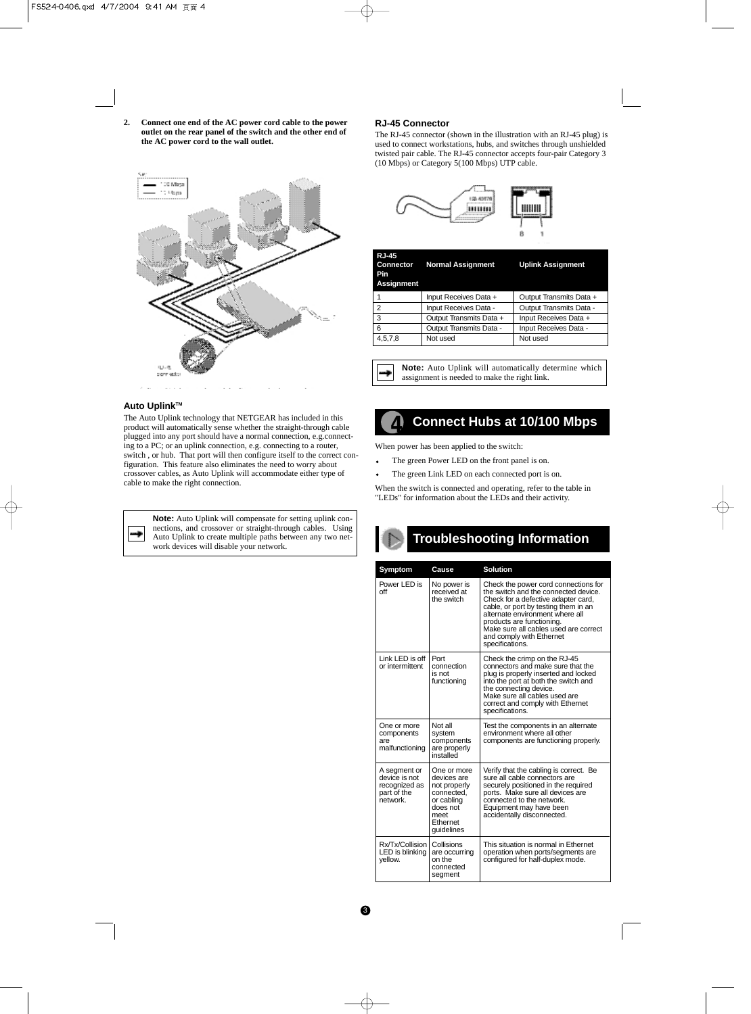**2. Connect one end of the AC power cord cable to the power outlet on the rear panel of the switch and the other end of the AC power cord to the wall outlet.**



# **Auto Uplink™**

The Auto Uplink technology that NETGEAR has included in this product will automatically sense whether the straight-through cable plugged into any port should have a normal connection, e.g.connecting to a PC; or an uplink connection, e.g. connecting to a router, switch , or hub. That port will then configure itself to the correct configuration. This feature also eliminates the need to worry about crossover cables, as Auto Uplink will accommodate either type of cable to make the right connection.

┿

**Note:** Auto Uplink will compensate for setting uplink connections, and crossover or straight-through cables. Using Auto Uplink to create multiple paths between any two network devices will disable your network.

# **RJ-45 Connector**

The RJ-45 connector (shown in the illustration with an RJ-45 plug) is used to connect workstations, hubs, and switches through unshielded twisted pair cable. The RJ-45 connector accepts four-pair Category 3 (10 Mbps) or Category 5(100 Mbps) UTP cable.



| 1<br>Input Receives Data +<br>Output Transmits Data +<br>$\overline{2}$<br>Input Receives Data -<br>Output Transmits Data -<br>3<br>Output Transmits Data +<br>Input Receives Data + | <b>RJ-45</b><br><b>Connector</b><br>Pin<br><b>Assignment</b> | <b>Normal Assignment</b> | <b>Uplink Assignment</b> |
|--------------------------------------------------------------------------------------------------------------------------------------------------------------------------------------|--------------------------------------------------------------|--------------------------|--------------------------|
|                                                                                                                                                                                      |                                                              |                          |                          |
|                                                                                                                                                                                      |                                                              |                          |                          |
|                                                                                                                                                                                      |                                                              |                          |                          |
|                                                                                                                                                                                      | 6                                                            | Output Transmits Data -  | Input Receives Data -    |
| Not used<br>Not used<br>4,5,7,8                                                                                                                                                      |                                                              |                          |                          |

**Note:** Auto Uplink will automatically determine which ۰ assignment is needed to make the right link.

# **4 Connect Hubs at 10/100 Mbps**

When power has been applied to the switch:

- The green Power LED on the front panel is on.  $\bullet$
- The green Link LED on each connected port is on.

When the switch is connected and operating, refer to the table in "LEDs" for information about the LEDs and their activity.

# **Troubleshooting Information**

| Symptom                                                                   | Cause                                                                                                                | <b>Solution</b>                                                                                                                                                                                                                                                                                                     |  |
|---------------------------------------------------------------------------|----------------------------------------------------------------------------------------------------------------------|---------------------------------------------------------------------------------------------------------------------------------------------------------------------------------------------------------------------------------------------------------------------------------------------------------------------|--|
| Power LED is<br>off                                                       | No power is<br>received at<br>the switch                                                                             | Check the power cord connections for<br>the switch and the connected device.<br>Check for a defective adapter card,<br>cable, or port by testing them in an<br>alternate environment where all<br>products are functioning.<br>Make sure all cables used are correct<br>and comply with Ethernet<br>specifications. |  |
| Link LED is off<br>or intermittent                                        | Port<br>connection<br>is not<br>functioning                                                                          | Check the crimp on the RJ-45<br>connectors and make sure that the<br>plug is properly inserted and locked<br>into the port at both the switch and<br>the connecting device.<br>Make sure all cables used are<br>correct and comply with Ethernet<br>specifications.                                                 |  |
| One or more<br>components<br>are<br>malfunctioning                        | Not all<br>system<br>components<br>are properly<br>installed                                                         | Test the components in an alternate<br>environment where all other<br>components are functioning properly.                                                                                                                                                                                                          |  |
| A segment or<br>device is not<br>recognized as<br>part of the<br>network. | One or more<br>devices are<br>not properly<br>connected,<br>or cabling<br>does not<br>meet<br>Ethernet<br>guidelines | Verify that the cabling is correct. Be<br>sure all cable connectors are<br>securely positioned in the required<br>ports. Make sure all devices are<br>connected to the network.<br>Equipment may have been<br>accidentally disconnected.                                                                            |  |
| Rx/Tx/Collision<br>LED is blinking<br>vellow.                             | Collisions<br>are occurring<br>on the<br>connected<br>segment                                                        | This situation is normal in Ethernet<br>operation when ports/segments are<br>configured for half-duplex mode.                                                                                                                                                                                                       |  |

# $\bullet$